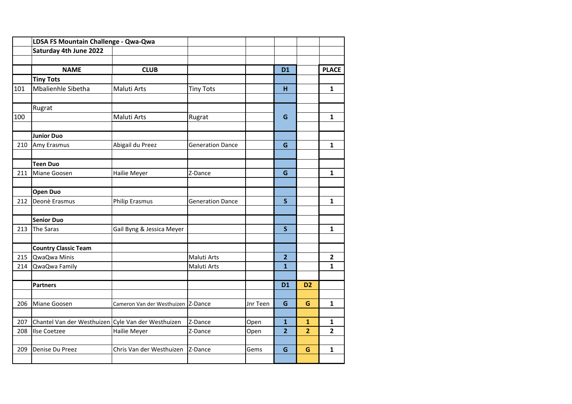|     | LDSA FS Mountain Challenge - Qwa-Qwa               |                                    |                         |          |                |                |                         |
|-----|----------------------------------------------------|------------------------------------|-------------------------|----------|----------------|----------------|-------------------------|
|     | Saturday 4th June 2022                             |                                    |                         |          |                |                |                         |
|     |                                                    |                                    |                         |          |                |                |                         |
|     | <b>NAME</b>                                        | <b>CLUB</b>                        |                         |          | <b>D1</b>      |                | <b>PLACE</b>            |
|     | <b>Tiny Tots</b>                                   |                                    |                         |          |                |                |                         |
| 101 | Mbalienhle Sibetha                                 | Maluti Arts                        | <b>Tiny Tots</b>        |          | н              |                | $\mathbf{1}$            |
|     |                                                    |                                    |                         |          |                |                |                         |
|     | Rugrat                                             |                                    |                         |          |                |                |                         |
| 100 |                                                    | Maluti Arts                        | Rugrat                  |          | G              |                | 1                       |
|     |                                                    |                                    |                         |          |                |                |                         |
|     | <b>Junior Duo</b>                                  |                                    |                         |          |                |                |                         |
| 210 | Amy Erasmus                                        | Abigail du Preez                   | <b>Generation Dance</b> |          | G              |                | $\mathbf{1}$            |
|     |                                                    |                                    |                         |          |                |                |                         |
|     | <b>Teen Duo</b>                                    |                                    |                         |          |                |                |                         |
| 211 | Miane Goosen                                       | Hailie Meyer                       | Z-Dance                 |          | G              |                | $\mathbf{1}$            |
|     |                                                    |                                    |                         |          |                |                |                         |
|     | <b>Open Duo</b>                                    |                                    |                         |          |                |                |                         |
| 212 | Deonè Erasmus                                      | <b>Philip Erasmus</b>              | <b>Generation Dance</b> |          | $\mathsf{S}$   |                | $\mathbf{1}$            |
|     |                                                    |                                    |                         |          |                |                |                         |
|     | <b>Senior Duo</b>                                  |                                    |                         |          |                |                |                         |
| 213 | <b>The Saras</b>                                   | Gail Byng & Jessica Meyer          |                         |          | $\mathsf{S}$   |                | 1                       |
|     |                                                    |                                    |                         |          |                |                |                         |
|     | <b>Country Classic Team</b>                        |                                    |                         |          |                |                |                         |
| 215 | QwaQwa Minis                                       |                                    | Maluti Arts             |          | $\overline{2}$ |                | $\overline{\mathbf{2}}$ |
| 214 | QwaQwa Family                                      |                                    | Maluti Arts             |          | $\overline{1}$ |                | $\mathbf{1}$            |
|     |                                                    |                                    |                         |          |                |                |                         |
|     | <b>Partners</b>                                    |                                    |                         |          | <b>D1</b>      | D <sub>2</sub> |                         |
|     |                                                    |                                    |                         |          |                |                |                         |
| 206 | Miane Goosen                                       | Cameron Van der Westhuizen Z-Dance |                         | Jnr Teen | G              | G              | $\mathbf{1}$            |
|     |                                                    |                                    |                         |          |                |                |                         |
| 207 | Chantel Van der Westhuizen Cyle Van der Westhuizen |                                    | Z-Dance                 | Open     | $\mathbf{1}$   | $\mathbf{1}$   | 1                       |
| 208 | <b>Ilse Coetzee</b>                                | Hailie Meyer                       | Z-Dance                 | Open     | $\overline{2}$ | $\overline{2}$ | $\overline{\mathbf{2}}$ |
|     |                                                    |                                    |                         |          |                |                |                         |
| 209 | Denise Du Preez                                    | Chris Van der Westhuizen           | Z-Dance                 | Gems     | G              | G              | $\mathbf{1}$            |
|     |                                                    |                                    |                         |          |                |                |                         |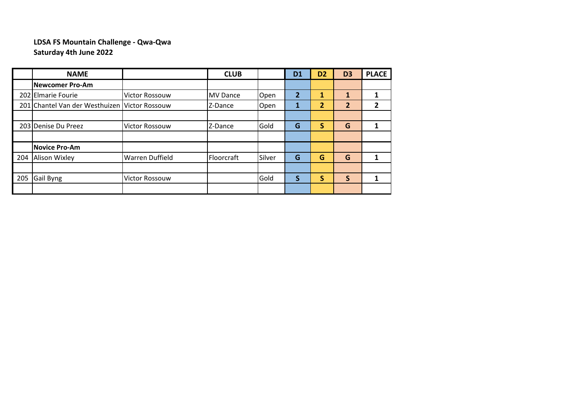## **LDSA FS Mountain Challenge - Qwa-Qwa Saturday 4th June 2022**

|            | <b>NAME</b>                               |                        | <b>CLUB</b>     |        | D <sub>1</sub> | D <sub>2</sub> | D <sub>3</sub> | <b>PLACE</b> |
|------------|-------------------------------------------|------------------------|-----------------|--------|----------------|----------------|----------------|--------------|
|            | <b>Newcomer Pro-Am</b>                    |                        |                 |        |                |                |                |              |
|            | 202 Elmarie Fourie                        | <b>Victor Rossouw</b>  | <b>MV Dance</b> | Open   | 2              |                |                |              |
| <b>201</b> | Chantel Van der Westhuizen Victor Rossouw |                        | Z-Dance         | Open   | 1              | 2              | $\mathbf{2}$   |              |
|            |                                           |                        |                 |        |                |                |                |              |
|            | 203 Denise Du Preez                       | <b>Victor Rossouw</b>  | Z-Dance         | Gold   | G              | S              | G              |              |
|            |                                           |                        |                 |        |                |                |                |              |
|            | <b>Novice Pro-Am</b>                      |                        |                 |        |                |                |                |              |
| 204        | <b>Alison Wixley</b>                      | <b>Warren Duffield</b> | Floorcraft      | Silver | G              | G              | G              |              |
|            |                                           |                        |                 |        |                |                |                |              |
| 205        | Gail Byng                                 | <b>Victor Rossouw</b>  |                 | Gold   | S              | S              | S              |              |
|            |                                           |                        |                 |        |                |                |                |              |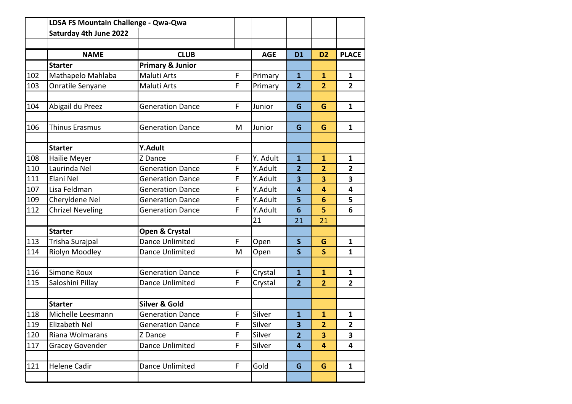|     | LDSA FS Mountain Challenge - Qwa-Qwa |                             |             |            |                         |                         |                |
|-----|--------------------------------------|-----------------------------|-------------|------------|-------------------------|-------------------------|----------------|
|     | Saturday 4th June 2022               |                             |             |            |                         |                         |                |
|     |                                      |                             |             |            |                         |                         |                |
|     | <b>NAME</b>                          | <b>CLUB</b>                 |             | <b>AGE</b> | <b>D1</b>               | D <sub>2</sub>          | <b>PLACE</b>   |
|     | <b>Starter</b>                       | <b>Primary &amp; Junior</b> |             |            |                         |                         |                |
| 102 | Mathapelo Mahlaba                    | <b>Maluti Arts</b>          | $\mathsf F$ | Primary    | $\mathbf{1}$            | $\mathbf{1}$            | 1              |
| 103 | Onratile Senyane                     | <b>Maluti Arts</b>          | F           | Primary    | $\overline{2}$          | $\overline{2}$          | $\overline{2}$ |
| 104 | Abigail du Preez                     | <b>Generation Dance</b>     | F           | Junior     | G                       | G                       | $\mathbf{1}$   |
|     |                                      |                             |             |            |                         |                         |                |
| 106 | Thinus Erasmus                       | <b>Generation Dance</b>     | M           | Junior     | G                       | G                       | $\mathbf{1}$   |
|     |                                      |                             |             |            |                         |                         |                |
|     | <b>Starter</b>                       | Y.Adult                     |             |            |                         |                         |                |
| 108 | Hailie Meyer                         | Z Dance                     | F           | Y. Adult   | $\overline{1}$          | $\overline{1}$          | $\mathbf{1}$   |
| 110 | Laurinda Nel                         | <b>Generation Dance</b>     | F           | Y.Adult    | $\overline{2}$          | 2                       | $\overline{2}$ |
| 111 | Elani Nel                            | <b>Generation Dance</b>     | F           | Y.Adult    | $\overline{\mathbf{3}}$ | 3                       | 3              |
| 107 | Lisa Feldman                         | <b>Generation Dance</b>     | F           | Y.Adult    | 4                       | 4                       | 4              |
| 109 | Cheryldene Nel                       | <b>Generation Dance</b>     | F           | Y.Adult    | 5                       | 6                       | 5              |
| 112 | <b>Chrizel Neveling</b>              | <b>Generation Dance</b>     | F           | Y.Adult    | 6                       | 5                       | 6              |
|     |                                      |                             |             | 21         | 21                      | 21                      |                |
|     | <b>Starter</b>                       | Open & Crystal              |             |            |                         |                         |                |
| 113 | Trisha Surajpal                      | Dance Unlimited             | F           | Open       | $\mathsf{s}$            | G                       | $\mathbf{1}$   |
| 114 | Riolyn Moodley                       | Dance Unlimited             | M           | Open       | $\mathsf{S}$            | $\overline{\mathsf{S}}$ | $\mathbf{1}$   |
|     |                                      |                             |             |            |                         |                         |                |
| 116 | Simone Roux                          | <b>Generation Dance</b>     | F           | Crystal    | $\mathbf{1}$            | 1                       | $\mathbf{1}$   |
| 115 | Saloshini Pillay                     | Dance Unlimited             | F           | Crystal    | $\overline{2}$          | $\overline{2}$          | $\overline{2}$ |
|     |                                      |                             |             |            |                         |                         |                |
|     | <b>Starter</b>                       | <b>Silver &amp; Gold</b>    |             |            |                         |                         |                |
| 118 | Michelle Leesmann                    | <b>Generation Dance</b>     | F           | Silver     | $\mathbf{1}$            | $\mathbf{1}$            | $\mathbf{1}$   |
| 119 | Elizabeth Nel                        | <b>Generation Dance</b>     | F           | Silver     | 3                       | $\overline{2}$          | $\mathbf{2}$   |
| 120 | Riana Wolmarans                      | Z Dance                     | F           | Silver     | $\overline{2}$          | 3                       | 3              |
| 117 | <b>Gracey Govender</b>               | Dance Unlimited             | F           | Silver     | $\overline{\mathbf{4}}$ | $\overline{4}$          | 4              |
|     |                                      |                             |             |            |                         |                         |                |
| 121 | <b>Helene Cadir</b>                  | Dance Unlimited             | F           | Gold       | G                       | G                       | $\mathbf{1}$   |
|     |                                      |                             |             |            |                         |                         |                |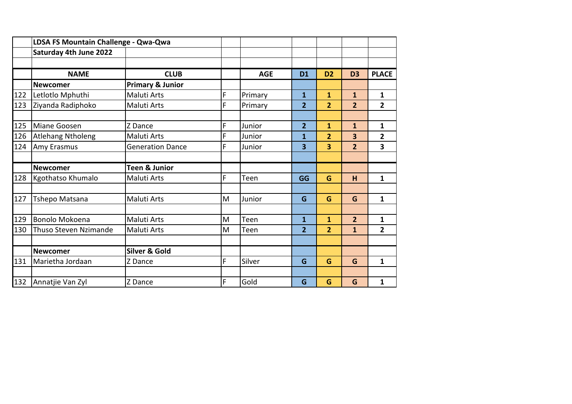|     | LDSA FS Mountain Challenge - Qwa-Qwa |                             |   |            |                         |                |                |                |
|-----|--------------------------------------|-----------------------------|---|------------|-------------------------|----------------|----------------|----------------|
|     | Saturday 4th June 2022               |                             |   |            |                         |                |                |                |
|     |                                      |                             |   |            |                         |                |                |                |
|     | <b>NAME</b>                          | <b>CLUB</b>                 |   | <b>AGE</b> | <b>D1</b>               | D <sub>2</sub> | D <sub>3</sub> | <b>PLACE</b>   |
|     | <b>Newcomer</b>                      | <b>Primary &amp; Junior</b> |   |            |                         |                |                |                |
| 122 | Letlotlo Mphuthi                     | Maluti Arts                 | F | Primary    | $\mathbf{1}$            | $\mathbf{1}$   | $\mathbf{1}$   | $\mathbf{1}$   |
| 123 | Ziyanda Radiphoko                    | <b>Maluti Arts</b>          | F | Primary    | $\overline{2}$          | $\overline{2}$ | $\overline{2}$ | $\overline{2}$ |
|     |                                      |                             |   |            |                         |                |                |                |
| 125 | Miane Goosen                         | Z Dance                     | F | Junior     | $\overline{2}$          | $\mathbf{1}$   | $\mathbf{1}$   | $\mathbf{1}$   |
| 126 | Atlehang Ntholeng                    | <b>Maluti Arts</b>          | F | Junior     | $\mathbf 1$             | $\overline{2}$ | 3              | $\overline{2}$ |
| 124 | Amy Erasmus                          | <b>Generation Dance</b>     | F | Junior     | $\overline{\mathbf{3}}$ | 3              | $\overline{2}$ | 3              |
|     |                                      |                             |   |            |                         |                |                |                |
|     | Newcomer                             | <b>Teen &amp; Junior</b>    |   |            |                         |                |                |                |
|     |                                      |                             |   |            |                         |                |                |                |
| 128 | Kgothatso Khumalo                    | Maluti Arts                 | F | Teen       | GG                      | G              | н              | $\mathbf{1}$   |
|     |                                      |                             |   |            |                         |                |                |                |
| 127 | Tshepo Matsana                       | <b>Maluti Arts</b>          | M | Junior     | G                       | G              | G              | $\mathbf{1}$   |
|     |                                      |                             |   |            |                         |                |                |                |
| 129 | Bonolo Mokoena                       | <b>Maluti Arts</b>          | M | Teen       | 1                       | 1              | $\overline{2}$ | 1              |
| 130 | Thuso Steven Nzimande                | <b>Maluti Arts</b>          | M | Teen       | $\overline{2}$          | $\overline{2}$ | $\mathbf{1}$   | $\overline{2}$ |
|     |                                      |                             |   |            |                         |                |                |                |
|     | <b>Newcomer</b>                      | <b>Silver &amp; Gold</b>    |   |            |                         |                |                |                |
| 131 | Marietha Jordaan                     | Z Dance                     | F | Silver     | G                       | G              | G              | $\mathbf{1}$   |
|     |                                      |                             |   |            |                         |                |                |                |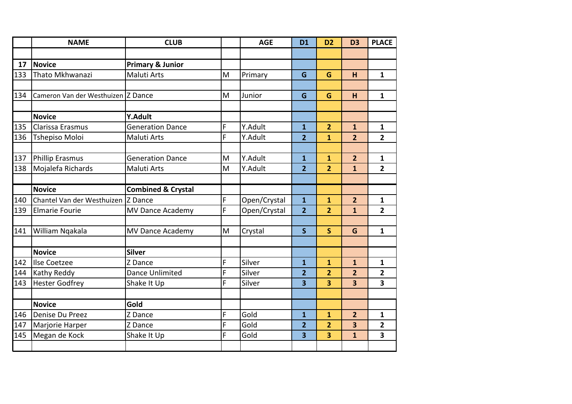|     | <b>NAME</b>                        | <b>CLUB</b>                   |   | <b>AGE</b>   | <b>D1</b>               | D <sub>2</sub>          | D <sub>3</sub>          | <b>PLACE</b>            |
|-----|------------------------------------|-------------------------------|---|--------------|-------------------------|-------------------------|-------------------------|-------------------------|
|     |                                    |                               |   |              |                         |                         |                         |                         |
| 17  | <b>Novice</b>                      | <b>Primary &amp; Junior</b>   |   |              |                         |                         |                         |                         |
| 133 | Thato Mkhwanazi                    | <b>Maluti Arts</b>            | M | Primary      | G                       | G                       | H                       | $\mathbf{1}$            |
|     |                                    |                               |   |              |                         |                         |                         |                         |
| 134 | Cameron Van der Westhuizen Z Dance |                               | M | Junior       | G                       | G                       | H                       | $\mathbf{1}$            |
|     | <b>Novice</b>                      | Y.Adult                       |   |              |                         |                         |                         |                         |
| 135 | Clarissa Erasmus                   | <b>Generation Dance</b>       | F | Y.Adult      | $\mathbf{1}$            | $\overline{2}$          | $\mathbf{1}$            | $\mathbf{1}$            |
| 136 | <b>Tshepiso Moloi</b>              | Maluti Arts                   | F | Y.Adult      | $\overline{2}$          | $\overline{1}$          | $\overline{2}$          | $\overline{2}$          |
|     |                                    |                               |   |              |                         |                         |                         |                         |
| 137 | <b>Phillip Erasmus</b>             | <b>Generation Dance</b>       | M | Y.Adult      | $\mathbf{1}$            | $\overline{\mathbf{1}}$ | $\overline{2}$          | $\mathbf{1}$            |
| 138 | Mojalefa Richards                  | <b>Maluti Arts</b>            | M | Y.Adult      | $\overline{2}$          | $\overline{2}$          | $\mathbf{1}$            | $\overline{2}$          |
|     |                                    |                               |   |              |                         |                         |                         |                         |
|     | <b>Novice</b>                      | <b>Combined &amp; Crystal</b> |   |              |                         |                         |                         |                         |
| 140 | Chantel Van der Westhuizen Z Dance |                               | F | Open/Crystal | $\mathbf{1}$            | $\mathbf{1}$            | $\overline{2}$          | $\mathbf{1}$            |
| 139 | <b>Elmarie Fourie</b>              | <b>MV Dance Academy</b>       | F | Open/Crystal | $\overline{2}$          | $\overline{2}$          | $\mathbf{1}$            | $\overline{2}$          |
|     |                                    |                               |   |              |                         |                         |                         |                         |
| 141 | William Ngakala                    | <b>MV Dance Academy</b>       | M | Crystal      | $\mathsf{S}$            | $\overline{\mathsf{S}}$ | G                       | $\mathbf{1}$            |
|     |                                    |                               |   |              |                         |                         |                         |                         |
|     | <b>Novice</b>                      | <b>Silver</b>                 |   |              |                         |                         |                         |                         |
| 142 | Ilse Coetzee                       | Z Dance                       | F | Silver       | $\mathbf{1}$            | $\mathbf{1}$            | $\mathbf{1}$            | $\mathbf{1}$            |
| 144 | Kathy Reddy                        | <b>Dance Unlimited</b>        | F | Silver       | $\overline{2}$          | $\overline{\mathbf{2}}$ | $\overline{2}$          | $\mathbf{2}$            |
| 143 | <b>Hester Godfrey</b>              | Shake It Up                   | F | Silver       | $\overline{\mathbf{3}}$ | 3                       | 3                       | $\overline{\mathbf{3}}$ |
|     |                                    |                               |   |              |                         |                         |                         |                         |
|     | <b>Novice</b>                      | Gold                          |   |              |                         |                         |                         |                         |
| 146 | Denise Du Preez                    | Z Dance                       | F | Gold         | $\mathbf{1}$            | 1                       | $\overline{2}$          | $\mathbf{1}$            |
| 147 | Marjorie Harper                    | Z Dance                       | F | Gold         | $\overline{2}$          | $\overline{2}$          | 3                       | $\overline{\mathbf{2}}$ |
| 145 | Megan de Kock                      | Shake It Up                   | F | Gold         | $\overline{\mathbf{3}}$ | 3                       | $\overline{\mathbf{1}}$ | $\overline{\mathbf{3}}$ |
|     |                                    |                               |   |              |                         |                         |                         |                         |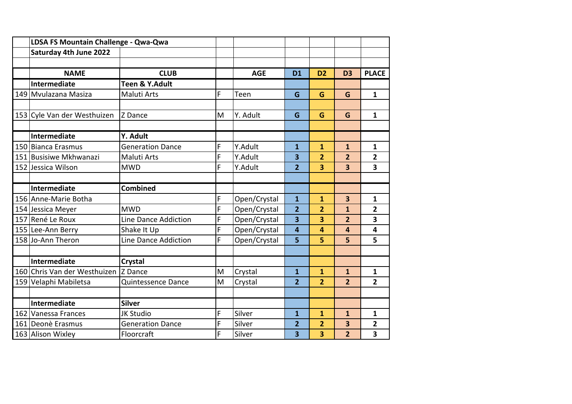| LDSA FS Mountain Challenge - Qwa-Qwa |                         |   |              |                         |                         |                         |                |
|--------------------------------------|-------------------------|---|--------------|-------------------------|-------------------------|-------------------------|----------------|
| Saturday 4th June 2022               |                         |   |              |                         |                         |                         |                |
|                                      |                         |   |              |                         |                         |                         |                |
| <b>NAME</b>                          | <b>CLUB</b>             |   | <b>AGE</b>   | <b>D1</b>               | D <sub>2</sub>          | D <sub>3</sub>          | <b>PLACE</b>   |
| Intermediate                         | Teen & Y.Adult          |   |              |                         |                         |                         |                |
| 149 Mvulazana Masiza                 | <b>Maluti Arts</b>      | F | Teen         | G                       | G                       | G                       | 1              |
|                                      |                         |   |              |                         |                         |                         |                |
| 153 Cyle Van der Westhuizen          | Z Dance                 | M | Y. Adult     | G                       | G                       | G                       | $\mathbf{1}$   |
|                                      |                         |   |              |                         |                         |                         |                |
| Intermediate                         | Y. Adult                |   |              |                         |                         |                         |                |
| 150 Bianca Erasmus                   | <b>Generation Dance</b> | F | Y.Adult      | $\mathbf{1}$            | $\overline{\mathbf{1}}$ | $\mathbf{1}$            | $\mathbf{1}$   |
| 151 Busisiwe Mkhwanazi               | <b>Maluti Arts</b>      | F | Y.Adult      | $\overline{\mathbf{3}}$ | $\overline{2}$          | $\overline{2}$          | $\overline{2}$ |
| 152 Jessica Wilson                   | <b>MWD</b>              | F | Y.Adult      | $\overline{2}$          | 3                       | 3                       | 3              |
|                                      |                         |   |              |                         |                         |                         |                |
| Intermediate                         | <b>Combined</b>         |   |              |                         |                         |                         |                |
| 156 Anne-Marie Botha                 |                         | F | Open/Crystal | $\overline{1}$          | 1                       | $\overline{\mathbf{3}}$ | 1              |
| 154 Jessica Meyer                    | <b>MWD</b>              | F | Open/Crystal | $\overline{2}$          | $\overline{2}$          | $\mathbf{1}$            | $\overline{2}$ |
| 157 René Le Roux                     | Line Dance Addiction    | F | Open/Crystal | $\overline{\mathbf{3}}$ | 3                       | $\overline{2}$          | 3              |
| 155 Lee-Ann Berry                    | Shake It Up             | F | Open/Crystal | 4                       | 4                       | 4                       | 4              |
| 158 Jo-Ann Theron                    | Line Dance Addiction    | F | Open/Crystal | 5                       | 5                       | 5                       | 5              |
|                                      |                         |   |              |                         |                         |                         |                |
| Intermediate                         | Crystal                 |   |              |                         |                         |                         |                |
| 160 Chris Van der Westhuizen         | Z Dance                 | M | Crystal      | $\mathbf{1}$            | 1                       | $\mathbf{1}$            | 1              |
| 159 Velaphi Mabiletsa                | Quintessence Dance      | M | Crystal      | $\overline{2}$          | $\overline{2}$          | $\overline{2}$          | $\overline{2}$ |
|                                      |                         |   |              |                         |                         |                         |                |
| Intermediate                         | <b>Silver</b>           |   |              |                         |                         |                         |                |
| 162 Vanessa Frances                  | <b>JK Studio</b>        | F | Silver       | $\mathbf{1}$            | $\overline{\mathbf{1}}$ | $\mathbf{1}$            | 1              |
| 161 Deonè Erasmus                    | <b>Generation Dance</b> | F | Silver       | $\overline{2}$          | $\overline{\mathbf{2}}$ | 3                       | 2              |
| 163 Alison Wixley                    | Floorcraft              | F | Silver       | 3                       | 3                       | $\overline{2}$          | 3              |